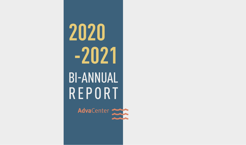# **2020 -2021** BI-ANNUAL REPORT

AdvaCenter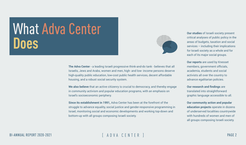**The Adva Center** - a leading Israeli progressive think-and-do tank - believes that all Israelis, Jews and Arabs, women and men, high- and low- income persons deserve high-quality public education, low-cost public health services, decent affordable housing, and a robust social security system.

**We also believe** that an active citizenry is crucial to democracy, and thereby engage in community activism and popular education programs, with an emphasis on Israel's socioeconomic periphery.

**Since its establishment in 1991,** Adva Center has been at the forefront of the struggle to advance equality, social justice and gender-responsive programming in Israel, monitoring social and economic developments and working top-down and bottom-up with all groups composing Israeli society.

#### BI-ANNUAL REPORT 2020-2021 [ ADVA CENTER ] PAGE 2



## What Adva Center **Does**

**Our studies** of Israeli society present critical analyses of public policy in the areas of budgets, taxation and social services – including their implications for Israeli society as a whole and for each of its major social groups.

**Our reports** are used by Knesset members, government officials, academia, students and social activists all over the country to advance egalitarian policies.

**Our research and findings** are translated into straightforward graphic language accessible to all.

**Our community action and popular education projects** operate in dozens of underserved localities countrywide with hundreds of women and men of all groups composing Israeli society.

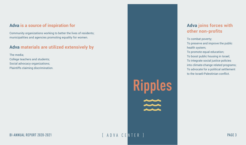### **Adva is a source of inspiration for**

Community organizations working to better the lives of residents; municipalities and agencies promoting equality for women.

### **Adva materials are utilized extensively by**

The media; College teachers and students; Social advocacy organizations; Plaintiffs claiming discrimination.

### **Adva joins forces with other non-profits**

To combat poverty; To preserve and improve the public health system; To promote equal education; To boost public housing in Israel; To integrate social justice policies into climate-change related programs; To advocate for a political settlement to the Israeli-Palestinian conflict.

# **Ripples** water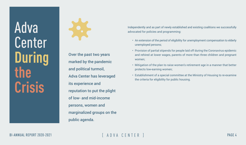## Adva Center **During the Crisis**



Over the past two years marked by the pandemic and political turmoil, Adva Center has leveraged its experience and reputation to put the plight of low- and mid-income persons, women and marginalized groups on the public agenda.

#### BI-ANNUAL REPORT 2020-2021 FRID VACENTER IN TER PAGE 4

### Independently and as part of newly established and existing coalitions we successfully advocated for policies and programming:

- An extension of the period of eligibility for unemployment compensation to elderly unemployed persons;
- Provision of partial stipends for people laid off during the Coronavirus epidemic and rehired at lower wages, parents of more than three children and pregnant women;
- Mitigation of the plan to raise women's retirement age in a manner that better protects low-earning women;
- Establishment of a special committee at the Ministry of Housing to re-examine the criteria for eligibility for public housing.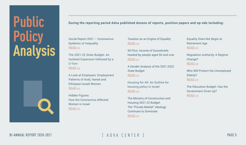| Social Report 2021 - Coronavirus:<br><b>Epidemic of Inequality</b> | Τa<br><u>RI</u> |  |
|--------------------------------------------------------------------|-----------------|--|
| READ >>                                                            | 50              |  |
| The 2021-22 State Budget: An                                       | h٤              |  |
| <b>Isolated Expansion followed by a</b>                            | <u>RI</u>       |  |
| <b>U-Turn</b>                                                      |                 |  |
| $READ \gg$                                                         | $\overline{A}$  |  |
|                                                                    | St              |  |
| A Look at Employers: Employment                                    | <u>RI</u>       |  |
| <b>Patterns of Arab, Haredi and</b>                                |                 |  |
| Ethiopian-Israeli Women                                            | H <sub>0</sub>  |  |
| <u>READ &gt;&gt;</u>                                               |                 |  |
|                                                                    | <u>RI</u>       |  |
| <b>Hidden Figures:</b>                                             |                 |  |
| <b>How the Coronavirus Affected</b>                                | Tł              |  |
| <b>Women in Israel</b>                                             | H               |  |
| <u>READ &gt;&gt;</u>                                               | Tł              |  |
|                                                                    | <u>C</u>        |  |
|                                                                    |                 |  |

#### BI-ANNUAL REPORT 2020-2021 **Exercise Exercise ADVA CENTER** 1

axation as an Engine of Equality  $EAD \gg$ 

0 Plus: Income of households eaded by people aged 50 and over  $EAD \gg$ 

Gender Analysis of the 2021-2022 tate Budget  $EAD \gg$ 

lousing for All: An Outline for ousing policy in Israel  $EAD \gg$ 

he Ministry of Construction and ousing 2021-22 Budget: he "Private Market" Ideology ontinues to Dominate  $READ \gg$ 

#### **During the reporting period Adva published dozens of reports, position papers and op-eds including:**

Equality Does Not Begin at Retirement Age [READ >>](https://adva.org/wp-content/uploads/2021/08/women-retirement-age-2021.pdf)

Regulation Authority: A Regime Change? [READ >>](https://adva.org/he/regulation_authority/)

Who Will Protect the Unemployed Elderly? [READ >>](https://adva.org/he/corona-unemployment-old-age/)

The Education Budget: Has the Government Given Up? [READ >>](https://adva.org/he/education-budget-2021/)

## **Public Policy Analysis**

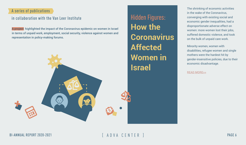The shrinking of economic activities in the wake of the Coronavirus, converging with existing social and economic gender inequalities, had a disproportionate adverse effect on women: more women lost their jobs, suffered domestic violence, and took on the bulk of unpaid care work.

Minority women, women with disabilities, refugee women and single mothers were the hardest hit by gender-insensitive policies, due to their economic disadvantage.

[READ MORE>>](https://adva.org/en/category/corona-women/)





<span id="page-5-0"></span>Hidden Figures: **How the Coronavirus Affected Women in Israel**

A project highlighted the impact of the Coronavirus epidemic on women in Israel in terms of unpaid work, employment, social security, violence against women and representation in policy-making forums.

### A series of publications

### in collaboration with the Van Leer Institute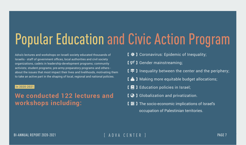# Popular Education and Civic Action Program

- [  $\bigstar$  ] Coronavirus: Epidemic of Inequality;
- [  $\varphi$ <sup>*j*</sup> ] Gender mainstreaming;
- $\Gamma = \Gamma$  I inequality between the center and the periphery;
- I  $\delta$  ] Making more equitable budget allocations;
- $\mathbf{I} \in \mathbf{I}$  ] Education policies in Israel;
- **[**  $\odot$  **]** Globalization and privatization.
- I **H** I The socio-economic implications of Israel's occupation of Palestinian territories.



Adva's lectures and workshops on Israeli society educated thousands of Israelis - staff of government offices, local authorities and civil society organizations, cadets in leadership-development programs; community activists; student programs; pre-army preparatory programs and others about the issues that most impact their lives and livelihoods, motivating them to take an active part in the shaping of local, regional and national policies.

#### In 2020-2021

**We conducted 122 lectures and workshops including:**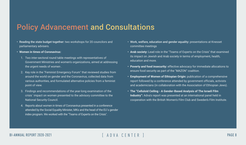- Reading the state budget together: two workshops for 20 councilors and parliamentary advisers.
- **• Women in times of Coronavirus:**
	- 1. Two inter-sectoral round table meetings with representatives of Government Ministries and women's organizations, aimed at addressing the urgent needs of women .
	- 2. Key role in the "Feminist Emergency Forum" that reviewed studies from around the world on gender and the Coronavirus, collected data from various authorities, and formulated alternative policies from a feminist point of view.
	- 3. Findings and recommendations of the year-long examination of the crisis´ impact on women presented to the advisory committee to the National Security Council.
	- 4. Reports about women in times of Coronavirus presented in a conference attended by the Social Equality Minister, MKs and the head of the EU´s gender index program. We worked with the "Teams of Experts on the Crisis".

#### BI-ANNUAL REPORT 2020-2021 FADVA CENTER 1

• Work, welfare, education and gender equality: presentations at Knesset committee meetings

**• Arab society:** Lead role in the "Teams of Experts on the Crisis" that examined its impact on Jewish and Arab society in terms of employment, health, education and more.

**• Poverty and food insecurity:** effective advocacy for immediate allocations to ensure food security as part of the "MAZON" coalition.

**• Employment of Women of Ethiopian Origin:** publication of a comprehensive report followed by a conference attended by government officials, activists and academicians (in collaboration with the Association of Ethiopian Jews).

**• The "Celluloid Ceiling - A Gender-Based Analysis of The Israeli Film Industry":** Adva's report was presented at an international panel held in cooperation with the British Women's Film Club and Sweden's Film Institute.

## Policy Advancement and Consultations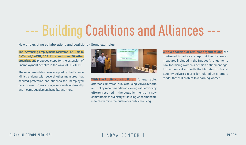## --- Building Coalitions and Alliances ---

The "Advancing Employment Taskforce" of "Omdim BeYahad," ACRI, 121 Plus and over 20 other organizations proposed steps for the extension of unemployment benefits in the wake of COVID-19.

> With The Public Housing Forum for equitable, affordable universal public housing: Adva's reports and policy recommendations, along with advocacy efforts, resulted in the establishment of a new committee in the Ministry of Housing whose mandate is to re-examine the criteria for public housing.

The recommendation was adopted by the Finance Ministry along with several other measures that secured protection and stipends for unemployed persons over 67 years of age, recipients of disability and income supplement benefits, and more.



With a coalition of feminist organizations, we continued to advocate against the draconian measures included in the Budget Arrangements Law for raising women's pension entitlement age. In this context and with the Ministry for Social Equality, Adva's experts formulated an alternate model that will protect low-earning women.

#### New and existing collaborations and coalitions - Some examples: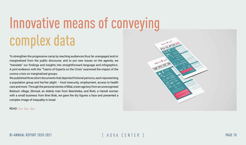## Innovative means of conveying complex data

To strengthen the progressive camp by reaching audiences thus far unengaged and/or marginalized from the public discourse, and to put new issues on the agenda, we "translate" our findings and insights into straightforward language and infographics. A joint endeavor with the "Teams of Experts on the Crisis" examined the impact of the corona crisis on marginalized groups.

We published three short documents that depicted fictional persons, each representing a population group and his/her plight – food insecurity, employment, access to health care and more. Through the personal stories of Bilal, a teen age boy from an unrecognized Bedouin village, Shmuel, an elderly man from Beersheba, and Rivki, a Haredi woman with a small business from Bnei Brak, we gave the dry figures a face and presented a complex image of inequality in Israel.

#### READ: [1>>](https://adva.org/en/coronacrisis-bilal/) [2>>](https://adva.org/en/coronacrisis-rivki/) [3>>](https://adva.org/en/coronacrisis-shmuel/)

#### BI-ANNUAL REPORT 2020-2021 [ ADVA CENTER ] PAGE 10

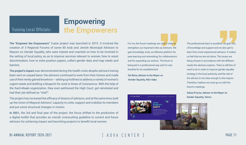**The "Empower the Empowerers"** 3-year project was launched in 2019. It involved the creation of 3 Regional Forums of some 80 Arab and Jewish Municipal Advisors to Mayors on Gender Equality, who were trained and coached on how to be involved in the setting of local policy, so as to improve services relevant to women, how to resist discrimination, how to write position papers, collect gender data and map needs and barriers.

**The project's impact** was demonstrated during the health crisis despite advisors having been sent on unpaid leave: the advisors continued to work from their homes and made use of their newly gained knowhow – setting-up hotlines to address a variety of women's urgent needs and drafting a blueprint for work in times of Coronavirus. With the help of the Itach-Maaki organization, they even petitioned the High Court, got reinstated and had their job defined as "vital"!

For me, the forum meetings are vital in order to strengthen our important roles as Advisors. We gain knowledge, tools, an effective platform for peer-learning and networking, for collaborations and for expanding our actions. The forum is being led in a professional way and I'm very thankful for its establishment

The project has increased the efficacy of dozens of advisors, and at the same time, built up the Union of Mayoral Advisors' capacity to unite, support and mobilize its members and put some structural changes in motion.

**In 2021,** the 3rd and final year of the project, the focus shifted to the production of a digital toolkit that provides an overall, crosscutting guideline to current and future advisors for achieving impact and launching projects to benefit local women.

#### BI-ANNUAL REPORT 2020-2021 FRID VACENTER IN THE REPORT 2020-2021 FRID VACENTER IN THE REPORT 2020-2021 FRID VACENTER

## **Empowering** Training Local Officials: **the Empowerers**

**Tali Rona, Advisor to the Mayor on Gender Equality, Kfar-Saba**

The professional team is excellent; we gain lots of knowledge and support and we also get to learn from more experienced advisors. It makes us feel that we are not alone. The issues are being chosen in accordance with the different needs the advisors express. There is still lots of work to do in order to improve gender equality strategy in the local authority, and the role of the advisor is not clear enough to the mayors. Therefore I believe we must go on with the forum's meetings

**Salwa K'na'an, Advisor to the Mayor on Gender Equality, Tamra**

דיגיטליו ליועצה

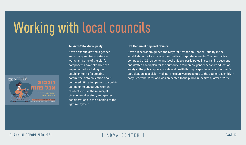# Working with local councils

| <b>Tel Aviv-Yafo Municipality</b>       | Н              |
|-----------------------------------------|----------------|
| Adva's experts drafted a gender-        | $\overline{A}$ |
| sensitive green transportation          | es             |
| workplan. Some of the plan's            | C <sub>C</sub> |
| components have already been            | ar             |
| implemented, including the              | Sá             |
| establishment of a steering             | p              |
| committee, data collection about        | ea             |
| gendered utilization patterns, a public |                |
| campaign to encourage women             |                |
| residents to use the municipal          |                |
| bicycle rental system, and gender       |                |
| considerations in the planning of the   |                |
| light rail system.                      |                |
|                                         |                |

#### BI-ANNUAL REPORT 2020-2021 FRID VACENTER IN STREAMENT AND VALUE IN STREAMENT AND VALUE IN STREAMER IN STREAMER

#### **of HaCarmel Regional Council**

dva's researchers guided the Mayoral Advisor on Gender Equality in the establishment of a strategic committee for gender equality. The committee, omposed of 25 residents and local officials, participated in six training sessions nd drafted a workplan for the authority in four areas: gender-sensitive education, safety in the public sphere, sports and health through a gender lens, and women's articipation in decision-making. The plan was presented to the council assembly in arly December 2021 and was presented to the public in the first quarter of 2022.

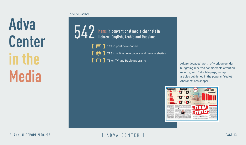**Adva Center**  in the **Media**



BI-ANNUAL REPORT 2020-2021 [ ADVA CENTER ] PAGE 13

- 
- **285** in online newspapers and news websites
	-

**In 2020-2021**

budgeting received considerable attention recently, with 2 double-page, in-depth articles published in the popular "Yediot Aharonot" newspaper.



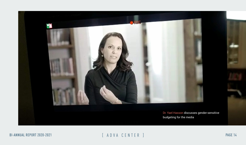Dr. Yael Hasson discusses gender-sensitive





BI-ANNUAL REPORT 2020-2021 [ ADVA CENTER ] PAGE 14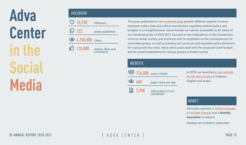**Adva Center in the Social Media**

In 2020, we launched **[a new website](https://adva.org/en/)  [for the Adva Center,](https://adva.org/en/) in Hebrew,** English and Arabic.

Adva also operates a **[Twitter account](https://twitter.com/adva_center)**, a **[YouTube channel](https://www.youtube.com/c/AdvaOrg1991)** and a **Monthly Newsletter** in Hebrew.

Readers are invited to subscribe!

| $\heartsuit$ 15,750      | followers                     | e                                              |
|--------------------------|-------------------------------|------------------------------------------------|
| 山 222                    | posts published               | $\Omega$                                       |
| <b>3</b> 4,150,000 views |                               | C                                              |
| $\bigcirc$ 210,000       | shares, likes and<br>comments | $\overline{\mathsf{V}}$<br>f <sub>0</sub><br>a |
|                          |                               |                                                |

PC<sub>2</sub>

BI-ANNUAL REPORT 2020-2021 **Example 19** and VA CENTER 1

|                |                   | 200 216,500 users visited        |
|----------------|-------------------|----------------------------------|
| $\bigodot$ 600 |                   | page views per day               |
|                | $\boxed{2}$ 2,950 | subscribers to our<br>newsletter |

The posts published on our **[Facebook page](https://www.facebook.com/AdvaCenter)** present different aspects of socioeconomic policy, data and critical commentary regarding national policy and budgets in a straightforward, visual thumbs-up manner accessible to all. Many of our Facebook posts of 2020-2021 focused on the implications of the Coronavirus crisis on Israeli society and economy, with an emphasis on the consequences for vulnerable groups, as well as pointing out more just and equitable policy directions for coping with the crisis. Many other posts dealt with the proposed state budget and its social implications for various groups in Israeli society.

### **WEBSITE**

### FACEBOOK

#### MORE?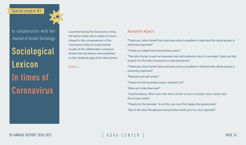Launched during the Coronavirus crisis, the lexicon deals with a variety of issues related to the consequences of the Coronavirus crisis for Israeli society. As part of the collaboration, numerous entries from the lexicon were published on the Facebook page of the Adva Center.

"Thank you, Adva Center! Each and every entry is excellent in itself and this whole project is extremely important!"

- "Finally an in-depth and renewed discussion".
- "The Adva Center is such an important and vital institution that it is unrivaled. Check out this project! It is the duty of everyone to read and peruse".
- "Thank you, Adva Center! Each and every entry is excellent in itself and this whole project is extremely important!"
- "Relevant and well written".
- "Thanks for the important words, I learned a lot".
- "More up to date than ever!"
- "Heartbreaking. What luck that Adva Center exists to shatter false myths and illuminate reality".
- "Thanks for the reminder. To do this, one must first replace the government".
- "One of the most thought-provoking entries, thank you! It is very important".

#### **READERS REACT:**

[READ >>](https://adva.org/en/category/corona-women/)

BI-ANNUAL REPORT 2020-2021 [ ADVA CENTER ] PAGE 16

### Special project #1

In collaboration with the Journal of Israeli Sociology:

**Sociological Lexicon In times of Coronavirus**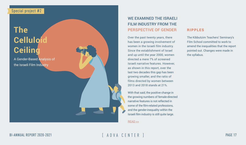#### RIPPLES

The Kibbutzim Teachers' Seminary's Film School committed to work to amend the inequalities that the report pointed out. Changes were made in the syllabus.

## **The Celluloi Ceiling**

A Gender-Based Analysis of the Israeli Film Industry

BI-ANNUAL REPORT 2020-2021 FRID VACENTER IN TER PAGE 17

### WE EXAMINED THE ISRAELI FILM INDUSTRY FROM THE PERSPECTIVE OF GENDER

Over the past twenty years, there has been a growing involvement of women in the Israeli film industry. Since the establishment of Israel and up until the year 2000, women directed a mere 7% of screened Israeli narrative features. However, as shown in this report, over the last two decades this gap has been growing smaller, and the ratio of films directed by women between 2013 and 2018 stands at 21%.

With that said, the positive change in the growing numbers of female-directed narrative features is not reflected in some of the film-related professions, and the gender-inequality within the Israeli film industry is still quite large.

#### [READ >>](https://adva.org/en/celluloid-ceiling/)

### Special project #2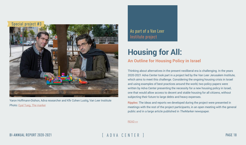Thinking about alternatives in the present neoliberal era is challenging. In the years 2020-2021 Adva Center took part in a project led by the Van Leer Jerusalem Institute, which aims to meet this challenge. Considering the ongoing housing crisis in Israel and using examples of best practices around the world, two policy papers were written by Adva Center presenting the necessity for a new housing policy in Israel, one that would allow access to decent and stable housing for all citizens, without subjecting their future to large debts and heavy expenses.

Ripples: The ideas and reports we developed during the project were presented in meetings with the rest of the project participants, in an open meeting with the general public and in a large article published in TheMarker newspaper.



Yaron Hoffmann-Dishon, Adva researcher and Kfir Cohen Lustig, Van Leer Institute Photo: [Eyal Tueg,](https://www.themarker.com/realestate/.premium-1.9470855) The marker

### BI-ANNUAL REPORT 2020-2021 FRID VACENTER IN STREED BAGE 18

### As part of a Van Leer Institute project

## <span id="page-17-0"></span>**Housing for All: An Outline for Housing Policy in Israel**

[READ >>](https://adva.org/he/housing-post-capitalism/)

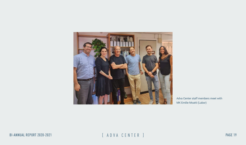

BI-ANNUAL REPORT 2020-2021 [ ADVA CENTER ] PAGE 19

Adva Center staff members meet with MK Emilie Moatti (Labor)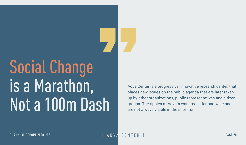# Social Change is a Marathon, Not a 100m Dash

BI-ANNUAL REPORT 2020-2021 FREEDORT 2020-2021 FREEDORE STATE ASSESSED AT LET A DIVIA CENTER IN TERMINE PAGE 20

Adva Center is a progressive, innovative research center, that places new issues on the public agenda that are later taken up by other organizations, public representatives and citizen groups. The ripples of Adva´s work reach far and wide and are not always visible in the short run.

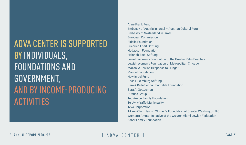Anne Frank Fund Embassy of Austria in Israel – Austrian Cultural Forum Embassy of Switzerland in Israel European Commission Fidelio Foundation Friedrich Ebert Stiftung Hadassah Foundation Heinrich Boell Stiftung Jewish Women's Foundation of the Greater Palm Beaches Jewish Women's Foundation of Metropolitan Chicago Mazon: A Jewish Response to Hunger Mandel Foundation New Israel Fund Rosa Luxemburg Stiftung Sam & Bella Sebba Charitable Foundation Sara A. Gottesman Strauss Group Ted Arison Family Foundation Tel Aviv- Yaffo Municipality Teva Corporation Tikkun Olam Jewish Women's Foundation of Greater Washington D.C.

Women's Amutot Initiative of the Greater Miami Jewish Federation

Zabar Family Foundation

## ADVA CENTER IS SUPPORTED BY INDIVIDUALS, FOUNDATIONS AND GOVERNMENT, AND BY INCOME-PRODUCING ACTIVITIES

BI-ANNUAL REPORT 2020-2021 [ ADVA CENTER ] PAGE 21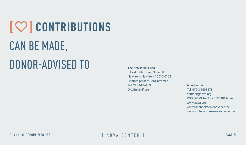# $[$  **CONTRIBUTIONS** CAN BE MADE, DONOR-ADVISED TO **The New Israel Fund**

BI-ANNUAL REPORT 2020-2021 FADVA CENTER 1

6 East 39th Street, Suite 301 New York, New York 10016-0108 Contact person: Sara Temmer Tel: 212-6134409 [DAgifts@nif.org](mailto:DAgifts@nif.org)

#### **Adva Center**

Tel: 972-3-5608871 [contact@adva.org](mailto:contact%40adva.org%20?subject=) POB 36529 Tel Aviv 6136401 Israel [www.adva.org](http://www.adva.org) [www.facebookcom/Advacenter](http://www.facebookcom/Advacenter ) [www.youtube.com/user/advacenter](http://www.youtube.com/user/advacenter)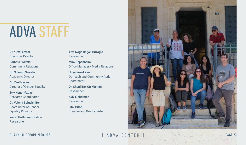## ADVA STAFF

**Dr. Yuval Livnat** Executive Director

**Barbara Swirski** Community Relations

**Dr. Shlomo Swirski** Academic Director

**Dr. Yael Hasson** Director of Gender Equality

**Uriya Yakut Zini** Outreach and Community Action **Coordinator** 

**Etty Konor-Attias** Research Coordinator

**Dr. Valeria Seigelshifer** Coordinator of Gender Equality Projects

**Yaron Hoffmann-Dishon** Researcher

**Adv. Noga Dagan Buzaglo** Researcher

**Mira Oppenheim** Office Manager / Media Relations

**Dr. Shani Bar-On Maman** Researcher

**Aviv Lieberman** Researcher

**Lital Biton** Creative and Graphic Artist

BI-ANNUAL REPORT 2020-2021 [ A D V A C E N T E R ] PAGE 23

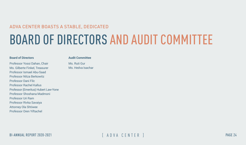## ADVA CENTER BOASTS A STABLE, DEDICATED BOARD OF DIRECTORS AND AUDIT COMMITTEE

#### **Board of Directors**

Professor Yossi Dahan, Chair Ms. Gilberte Finkel, Treasurer Professor Ismael Abu-Saad Professor Nitza Berkowitz Professor Dani Filc Professor Rachel Kallus Professor (Emeritus) Hubert Law-Yone Professor Shoshana Madmoni Professor Uri Ram Professor Rivka Savaiya Attorney Ola Shtiwee Professor Oren Yiftachel

#### **Audit Committee**

Ms. Ruti Gur Ms. Hedva Isachar

BI-ANNUAL REPORT 2020-2021 **Exercise Exercise ADVA CENTER** 1